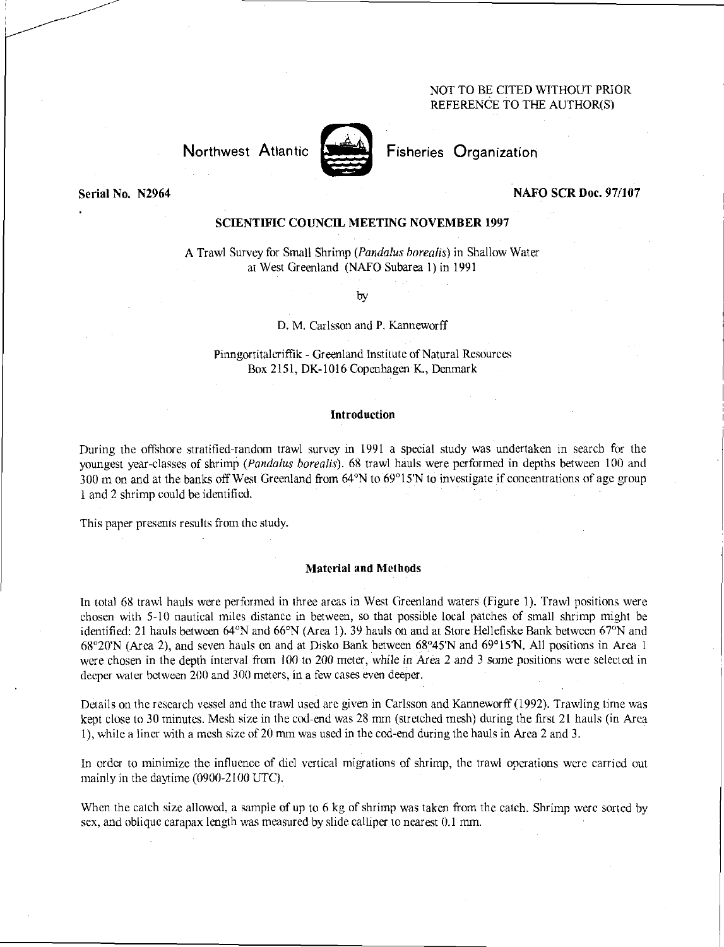# NOT TO BE CITED WITHOUT PRIOR REFERENCE TO THE AUTHOR(S)

Northwest Atlantic **Fisheries** Crganization

# Serial No. N2964 NAFO SCR Doc. 97/107

# SCIENTIFIC COUNCIL MEETING NOVEMBER 1997

A Trawl Survey for Small Shrimp *(Pandalus borealis)* in Shallow Water at West Greenland (NAFO Subarea 1) in 1991

by

### D. M. Carlsson and P. Kanneworff

Pinngortitaleriffik - Greenland Institute of Natural Resources Box 2151, DK-1016 Copenhagen K., Denmark

# Introduction

During the offshore stratified-random trawl survey in 1991 a special study was undertaken in search for the youngest year-classes of shrimp *(Pandalus borealis).* 68 trawl hauls were performed in depths between 100 and 300 m on and at the banks off West Greenland from 64°N to 69°15'N to investigate if concentrations of age group 1 and 2 shrimp could be identified.

This paper presents results from the study.

#### Material and Methods

In total 68 trawl hauls were performed in three areas in West Greenland waters (Figure 1). Trawl positions were chosen with 5-10 nautical miles distance in between, so that possible local patches of small shrimp might be identified: 21 hauls between 64°N and 66°N (Area 1). 39 hauls on and at Store Hellefiske Bank between 67°N and 68°20'N (Area 2), and seven hauls on and at Disko Bank between 68°45'N and 69°15'N. All positions in Area I were chosen in the depth interval from 100 to 200 meter, while in Area 2 and 3 some positions were selected in deeper water between 200 and 300 meters, in a few cases even deeper.

Details on the research vessel and the trawl used are given in Carlsson and Kanneworff (1992). Trawling time was kept close to 30 minutes. Mesh size in the cod-end was 28 mm (stretched mesh) during the first 21 hauls (in Area 1), while a liner with a mesh size of 20 mm was used in the cod-end during the hauls in Area 2 and 3.

In order to minimize the influence of did vertical migrations of shrimp, the trawl operations were carried out mainly in the daytime (0900-2100 UTC),

When the catch size allowed, a sample of up to 6 kg of shrimp was taken from the catch. Shrimp were sorted by sex, and oblique carapax length was measured by slide calliper to nearest 0.1 mm.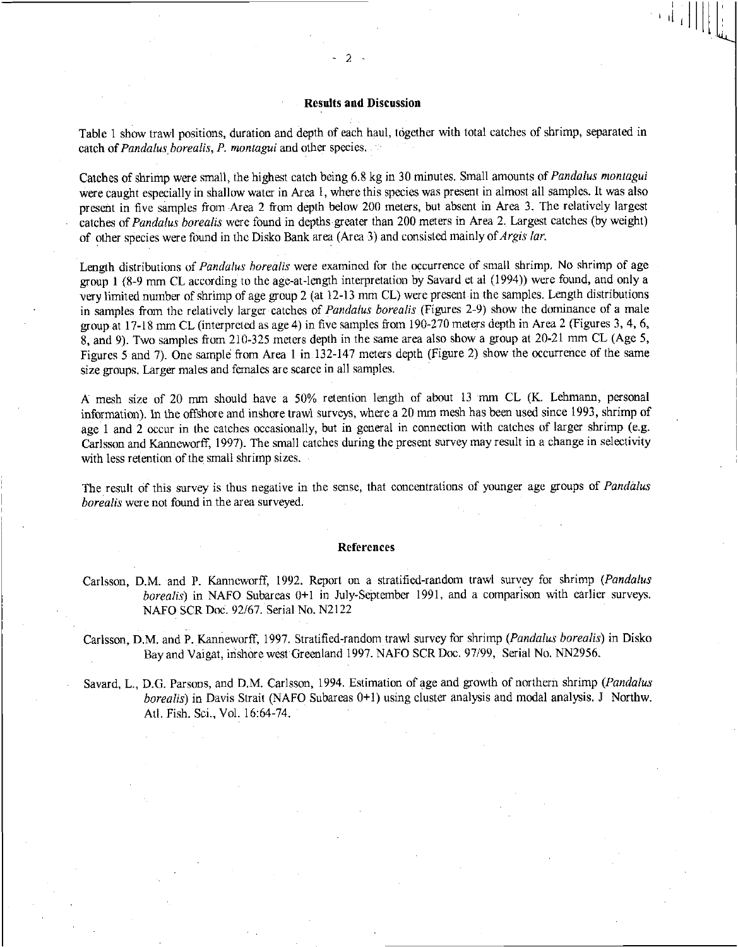# Results and Discussion

Table 1 show trawl positions, duration and depth of each haul, together with total catches of shrimp, separated in catch of *Pandalus, borealis, P. montagui* and other species.

Catches of shrimp were small, the highest catch being 6.8 kg in 30 minutes. Small amounts of *Pandalus montagui*  were caught especially in shallow water in Area 1, where this species was present in almost all samples. It was also present in five samples from Area 2 from depth below 200 meters, but absent in Area 3. The relatively largest catches of *Pandalus borealis* were found in depths greater than 200 meters in Area 2. Largest catches (by weight) of other species were found in the Disko Bank area (Area 3) and consisted mainly of *Argis* 

Length distributions of *Pandalus borealis* were examined for the occurrence of small shrimp. No shrimp of age group 1 (8-9 mm CL according to the age-at-length interpretation by Savard et al (1994)) were found, and only a very limited number of shrimp of age group 2 (at 12-13 mm CL) were present in the samples. Length distributions in samples from the relatively larger catches of *Pandalus borealis* (Figures 2-9) show the dominance of a male group at 17-18 mm CL (interpreted as age 4) in five samples from 190-270 meters depth in Area 2 (Figures 3, 4, 6, 8, and 9). Two samples from 210-325 meters depth in the same area also show a group at 20-21 mm CL (Age 5, Figures 5 and 7). One sample from Area 1 in 132-147 meters depth (Figure 2) show the occurrence of the same size groups. Larger males and females are scarce in all samples.

A mesh size of 20 mm should have a 50% retention length of about 13 mm CL (K. Lehmann, personal information). In the offshore and inshore trawl surveys, where a 20 mm mesh has been used since 1993, shrimp of age 1 and 2 occur in the catches occasionally, but in general in connection with catches of larger shrimp (e.g. Carlsson and Kanneworff, 1997). The small catches during the present survey may result in a change in selectivity with less retention of the small shrimp sizes.

The result of this survey is thus negative in the sense, that concentrations of younger age groups of *Pandalus borealis* were not found in the area surveyed.

#### References

Carlsson, D.M. and P. Kanneworff, 1992. Report on a stratified-random trawl survey for shrimp *(Pandalus borealis)* in NAFO Subareas 0+1 in July-September 1991, and a comparison with earlier surveys. NAFO SCR Doc. 92/67. Serial No. N2122

Carlsson, D.M. and P. Kanneworff, 1997. Stratified-random trawl survey for shrimp *(Pandalus borealis)* in Disko Bay and Vaigat, inshore west Greenland 1997. NAFO SCR Doc. 97/99, Serial No. NN2956.

Savard, L., D.G. Parsons, and D.M. Carlsson, 1994. Estimation of age and growth of northern shrimp *(Pandalus borealis)* in Davis Strait (NAFO Subareas 0+1) using cluster analysis and modal analysis. J Northw. Atl. Fish. Sci., Vol. 16:64-74.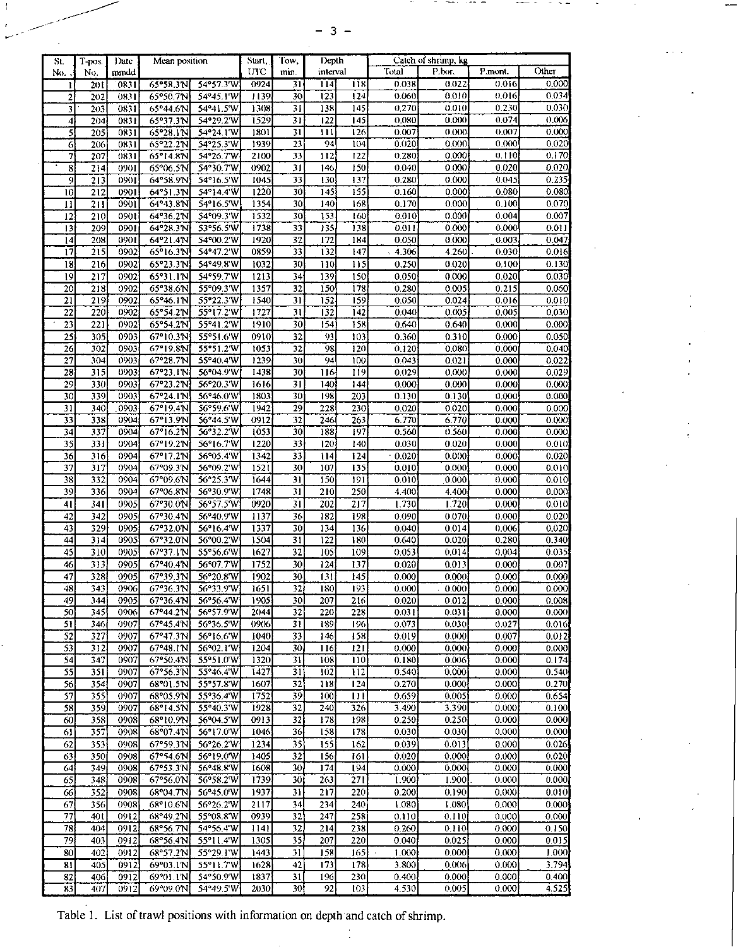|--|--|

| St.             | T-pos. | Date | Mean position | Start,    | Tow. | Depth           |                  | Catch of shrimp, kg |       |        |         |       |
|-----------------|--------|------|---------------|-----------|------|-----------------|------------------|---------------------|-------|--------|---------|-------|
| No.             | No.    | mmdd |               |           | UTC  | min.            | interval         |                     | Total | P.bor. | P.mont. | Other |
| ı               | 201    | 0831 | 65°58.3N      | 54°57.3'W | 0924 | 31              | 114              | 118                 | 0.038 | 0.022  | 0.016   | 0.000 |
|                 | 202    | 0831 | 65°50.7'N     | 54°45.1'W | 1139 | 30              | 123              | 124                 | 0.060 | 0.010  | 0.016   | 0.034 |
|                 | 203    | 0831 | 65°44.6N      | 54°41.5'W | 1308 | 31              | 138              | 145                 | 0,270 | 0.010  | 0.230   | 0.030 |
| 3               |        |      |               |           |      |                 |                  |                     |       |        |         | 0,006 |
| 4               | 204    | 0831 | 65°37.3N      | 54°29.2'W | 1529 | $\overline{31}$ | 122              | 145                 | 0.080 | 0.000  | 0.074   |       |
| 5               | 205    | 0831 | 65°28.1N      | 54°24.1'W | 1801 | 31              | 111              | 126                 | 0.007 | 0.000  | 0.007   | 0.000 |
| 6               | 206    | 0831 | 65°22.2'N     | 54°25.3'W | 1939 | 23              | 94               | 104                 | 0.020 | 0.000  | 0.000   | 0.020 |
| 7               | 207    | 0831 | 65°14.8N      | 54°26.7'W | 2100 | 33              | 112              | 122                 | 0.280 | 0.000  | 0.110   | 0.170 |
| 8               | 214    | 0901 | 65°06.5N      | 54°30.7'W | 0902 | 31              | 146              | 150                 | 0.040 | 0.000  | 0.020   | 0.020 |
| $\overline{9}$  | 213    | 0901 | 64°58.9'N     | 54°16.5'W | 1045 | 33              | 130              | 137                 | 0.280 | 0.000  | 0.045   | 0.235 |
| Ï0              | 212    | 0901 | 64°51.3'N     | 54°14.4'W | 1220 | 30              | 145              | 155                 | 0.160 | 0.000  | 0.080   | 0.080 |
| п               | 211    | 0901 | 64°43.8'N     | 54°16.5'W | 1354 | 30              | 140              | 168                 | 0.170 | 0.000  | 0.100   | 0.070 |
| 12              | 210    | 0901 | 64°36.2'N     | 54°09.3'W | 1532 | 30              | 153              | 160                 | 0.010 | 0.000  | 0.004   | 0.007 |
| $\overline{13}$ | 209    | 0901 | 64°28.3'N     | 53°56.5°W | 1738 | 33              | 135              | 138                 | 0.011 | 0.000  | 0.000   | 0.011 |
|                 |        |      | 64°21.4N      |           |      |                 |                  |                     |       |        |         | 0.047 |
| $\overline{14}$ | 208    | 0901 |               | 54°00.2'W | 1920 | 32              | 172              | 184                 | 0.050 | 0.000  | 0.003   |       |
| 17              | 215    | 0902 | 65°16.3'N     | 54°47.2'W | 0859 | 33              | 132              | 147                 | 4.306 | 4.260  | 0.030   | 0.016 |
| $\overline{18}$ | 216    | 0902 | 65°23.3°N     | 54°49.8'W | 1032 | 30              | 110              | 115                 | 0.250 | 0.020  | 0.100   | 0.130 |
| $\overline{19}$ | 217    | 0902 | 65°31.1'N     | 54°59.7'W | 1213 | 34              | 139              | 150                 | 0.050 | 0.000  | 0.020   | 0.030 |
| 20              | 218    | 0902 | 65°38.6'N     | 55°09.3'W | 1357 | 32              | 150              | 178                 | 0.280 | 0.005  | 0.215   | 0.060 |
| $\overline{21}$ | 219    | 0902 | 65°46.1N      | 55°22.3'W | 1540 | 31              | $\overline{152}$ | 159                 | 0.050 | 0.024  | 0.016   | 0.010 |
| 22              | 220    | 0902 | 65°54.2'N     | 55°17.2'W | 1727 | 31              | 132              | 142                 | 0.040 | 0.005  | 0.005   | 0.030 |
| 23              | 221    | 0902 | 65°54.2'N     | 55°41.2'W | 1910 | 30              | 154              | 158                 | 0.640 | 0.640  | 0,000   | 0.000 |
|                 |        |      |               |           |      |                 |                  |                     |       |        |         |       |
| $\overline{25}$ | 305    | 0903 | 67°10.3'N     | 55°51.6'W | 0910 | 32              | 93               | 10 <sub>3</sub>     | 0.360 | 0.310  | 0.000   | 0.050 |
| 26              | 302    | 0903 | 67°19.8'N     | 55°51.2'W | 1053 | 32              | 98               | 120                 | 0.120 | 0.080  | 0.000   | 0.040 |
| 27              | 304    | 0903 | 67°28.7'N     | 55°40.4'W | 1239 | 30              | 94               | 100                 | 0.043 | 0.021  | 0.000   | 0.022 |
| 28              | 315    | 0903 | 67°23.1N      | 56°04.9'W | 1438 | 30              | 116              | 119                 | 0.029 | 0.000  | 0.000   | 0.029 |
| 29              | 330    | 0903 | 67°23.2N      | 56°20.3'W | 1616 | 31              | 140              | 144                 | 0.000 | 0.000  | 0.000   | 0.000 |
| 30              | 339    | 0903 | 67°24.1N      | 56°46.0'W | 1803 | 30              | 198              | 203                 | 0.130 | 0.130  | 0.000   | 0.000 |
| 31              | 340    | 0903 | 67°19.4'N     | 56°59.6'W | 1942 | 29              | 228              | 230                 | 0.020 | 0.020  | 0.000   | 0.000 |
| 33              | 338    | 0904 | 67°13.9N      | 56°44.5'W | 0912 | 32              | 246              | 263                 | 6.770 | 6.770  | 0.000   | 0.000 |
| 34              | 337    | 0904 | 67°16.2'N     | 56°32.2'W | 1053 | 30              | 188              | 197                 | 0.560 | 0.560  | 0.000   | 0.000 |
| 35              | 331    | 0904 |               | 56°16.7'W |      | 33              | 120              |                     |       | 0.020  | 0.000   | 0.010 |
|                 |        |      | 67°19.2'N     |           | 1220 |                 |                  | 140                 | 0.030 |        |         |       |
| 36              | 316    | 0904 | 67°17.2N      | 56°05.4'W | 1342 | 33              | 114              | 124                 | 0.020 | 0.000  | 0.000   | 0.020 |
| 37              | 317    | 0904 | 67°09.3'N     | 56°09.2'W | 1521 | 30              | 107              | 135                 | 0.010 | 0.000  | 0.000   | 0.010 |
| 38              | 332    | 0904 | 67°09.6N      | 56°25.3W  | 1644 | 31              | 150              | 191                 | 0.010 | 0.000  | 0,000   | 0.010 |
| 39              | 336    | 0904 | 67°06.8'N     | 56°30.9'W | 1748 | 31              | 210              | 250                 | 4.400 | 4.400  | 0.000   | 0.000 |
| 41              | 341    | 0905 | 67°30.0N      | 56°57.5°W | 0920 | $\overline{31}$ | 202              | 217                 | 1.730 | 1.720  | 0.000   | 0.010 |
| 42              | 342    | 0905 | 67°30.4'N     | 56°40.9'W | 1137 | 36              | 182              | 198                 | 0.090 | 0.070  | 0.000   | 0.020 |
| 43              | 329    | 0905 | 67°32.0'N     | 56°16.4'W | 1337 | 30              | 134              | 136                 | 0.040 | 0.014  | 0.006   | 0.020 |
| 44              | 314    | 0905 |               |           | 1504 | 31              | 122              | 180                 |       | 0.020  |         |       |
|                 |        |      | 67°32.0'N     | 56°00.2'W |      |                 |                  |                     | 0.640 |        | 0.280   | 0.340 |
| 45              | 310    | 0905 | 67°37.1N      | 55°56.6'W | 1627 | $\overline{32}$ | 105              | 109                 | 0.053 | 0.014  | 0.004   | 0.035 |
| 46              | 313    | 0905 | 67°40.4'N     | 56°07.7'W | 1752 | 30              | 124              | 137                 | 0.020 | 0.013  | 0.000   | 0.007 |
| 47              | 328    | 0905 | 67°39.3N      | 56°20.8'W | 1902 | 30              | 13!              | 145                 | 0.000 | 0.000  | 0.000   | 0.000 |
| 48              | 343    | 0906 | 67°36.3'N     | 56°33.9'W | 1651 | $\overline{32}$ | 180              | 193                 | 0.000 | 0.000  | 0.000   | 0.000 |
| 49              | 3441   | 0905 | 67°36.4'NJ    | 56°56.4W  | 1905 | 30              | 207              | 216                 | 0.020 | 0.012  | 0.000   | 0.008 |
| 50              | 345    | 0906 | 67°44.2'N     | 56°57.9'W | 2044 | $3\overline{2}$ | 220              | 228                 | 0.031 | 0.031  | 0.000   | 0.000 |
| 51              | 346    | 0907 | 67°45.4'N     | 56°36.5'W | 0906 | 31              | 189              | 196                 | 0.073 | 0.030  | 0.027   | 0.016 |
| 52              | 327    |      | 67°47.3N      | 56°16.6'W |      | 33              |                  |                     |       |        |         |       |
|                 |        | 0907 |               |           | 1040 |                 | 146              | 158                 | 0.019 | 0.000  | 0.007   | 0.012 |
| 53              | 312    | 0907 | 67°48.1N      | 56°02.1'W | 1204 | 30              | 116              | 121                 | 0.000 | 0.000  | 0.000   | 0.000 |
| 54              | 347    | 0907 | 67°50.4'N     | 55°51.0'W | 1320 | 31              | 108              | 110                 | 0.180 | 0.006  | 0.000   | 0.174 |
| 55              | 351    | 0907 | 67°56.3'N     | 55°46.4'W | 1427 | 31              | 102              | 112                 | 0.540 | 0.000  | 0.000   | 0.540 |
| 56              | 354    | 0907 | 68°01.5N      | 55°57.8'W | 1607 | 32              | 118              | 124                 | 0.270 | 0.000  | 0.000   | 0.270 |
| 57              | 355    | 0907 | 68°05.9'N     | 55°36.4'W | 1752 | 39              | 100              | Ш                   | 0.659 | 0.005  | 0.000   | 0.654 |
| 58              | 359    | 0907 | 68°14.5N      | 55°40.3'W | 1928 | 32              | 240              | 326                 | 3.490 | 3.390  | 0.000   | 0.100 |
| 60              | 358    | 0908 | 68°10.9'N     | 56°04.5'W | 0913 | 32              | 178              | 198                 | 0.250 | 0.250  | 0.000   | 0.000 |
| 61              | 357    | 0908 | 68°07.4N      | 56°17.0'W | 1046 | 36              | 158              | 178                 | 0.030 | 0.030  | 0.000   | 0.000 |
| 62              | 353    | 0908 | 67°59.3'N     | 56°26.2'W | 1234 | $\overline{35}$ | 155              | 162                 | 0.039 | 0.013  | 0.000   | 0.026 |
|                 |        |      |               |           |      |                 |                  |                     |       |        |         |       |
| 63              | 350    | 0908 | 67°54.6N      | 56°19.0'W | 1405 | 32              | 156              | 161                 | 0.020 | 0.000  | 0.000   | 0.020 |
| 64              | 349    | 0908 | 67°53.3'N     | 56°48.8'W | 1608 | 30              | 174              | 194                 | 0.000 | 0.000  | 0.000   | 0.000 |
| 65              | 348    | 0908 | 67°56.0'N     | 56°58.2'W | 1739 | 30              | 263              | 271                 | 1.900 | 1.900  | 0.000   | 0.000 |
| 66              | 352    | 0908 | 68°04.7°N     | 56°45.0'W | 1937 | 31              | 217              | 220                 | 0.200 | 0.190  | 0.000   | 0.010 |
| 67              | 356    | 0908 | 68°10.6'N     | 56°26.2'W | 2117 | 34              | 234              | 240                 | 1.080 | 1.080  | 0.000   | 0.000 |
| $\overline{77}$ | 401    | 0912 | 68°49.2'N     | 55°08.8°W | 0939 | 32              | 247              | 258                 | 0.110 | 0.110  | 0.000   | 0.000 |
| 78              | 404    | 0912 | 68°56.7N      | 54°56.4'W | 1141 | 32              | 214              | 238                 | 0.260 | 0.110  | 0.000   | 0.150 |
| 79              | 403    | 0912 | 68°56.4N      | 55°11.4'W | 1305 | 35              | 207              | 220                 | 0.040 | 0.025  | 0.000   | 0.015 |
| 80              | 402    | 0912 | 68°57.2N      | 55°29.1'W | 1443 | 31              | 158              | 165                 | 1.000 | 0.000  | 0,000   | 1.000 |
|                 |        |      |               |           |      |                 |                  |                     |       |        |         |       |
| 81              | 405    | 0912 | 69°03.1N      | 55°11.7'W | 1628 | 42              | 173              | 178                 | 3.800 | 0.006  | 0.000   | 3.794 |
| 82              | 406    | 0912 | 69°01.1°N     | 54°50.9'W | 1837 | 31              | 196              | 230                 | 0.400 | 0.000  | 0.000   | 0.400 |
| $\overline{83}$ | 407    | 0912 | 69°09.0N      | 54°49.5'W | 2030 | 30 <sup>1</sup> | 92               | 103                 | 4.530 | 0.005  | 0.000   | 4.525 |

Table 1. List of trawl positions with information on depth and catch of shrimp.

 $\frac{1}{2}$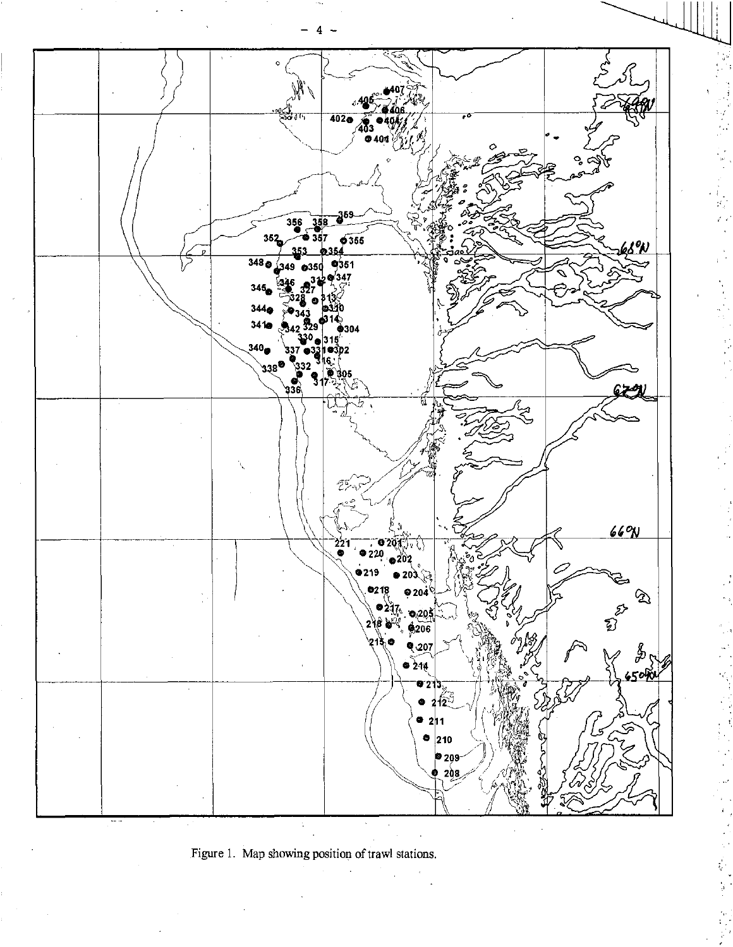

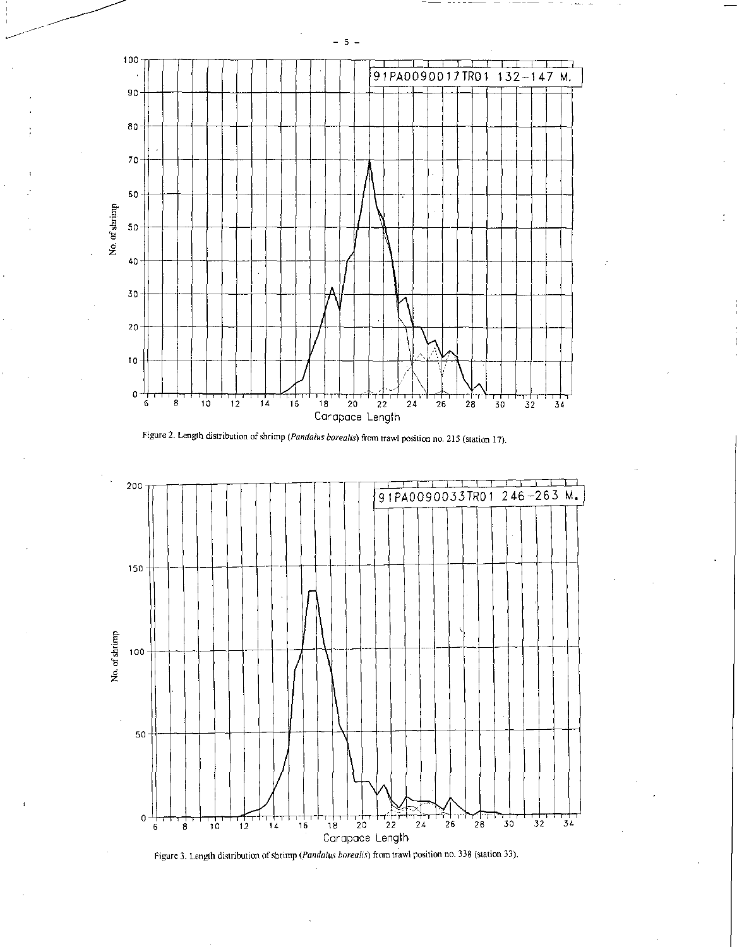





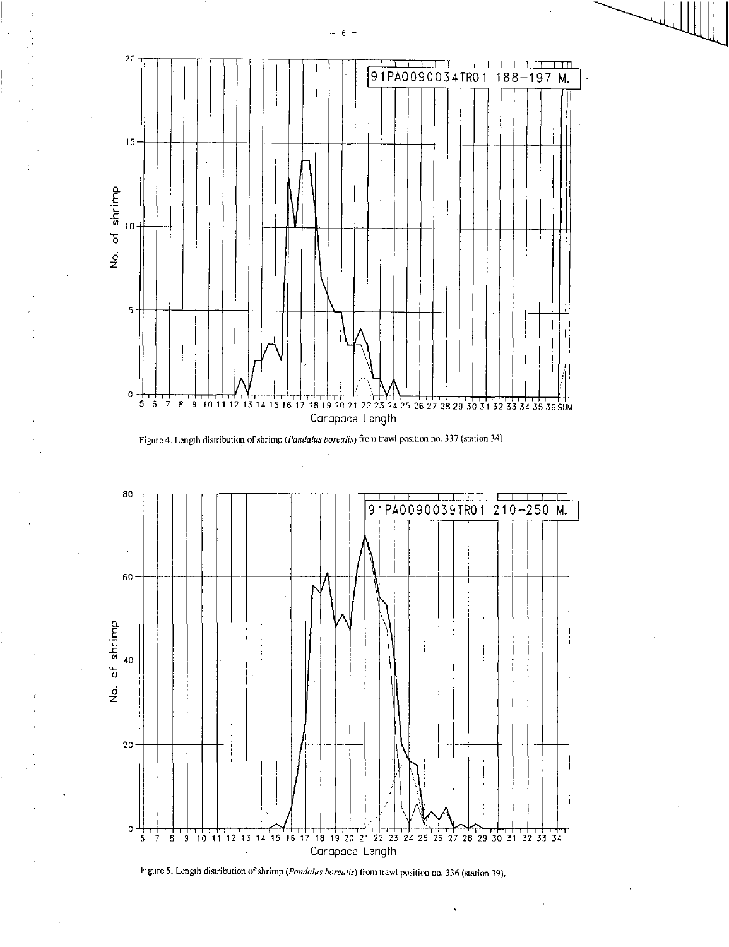





Figure 5. Length distribution of shrimp *(Pandalus borealis)* from trawl position no. 336 (station 39),

6

 $\ddot{\phantom{a}}$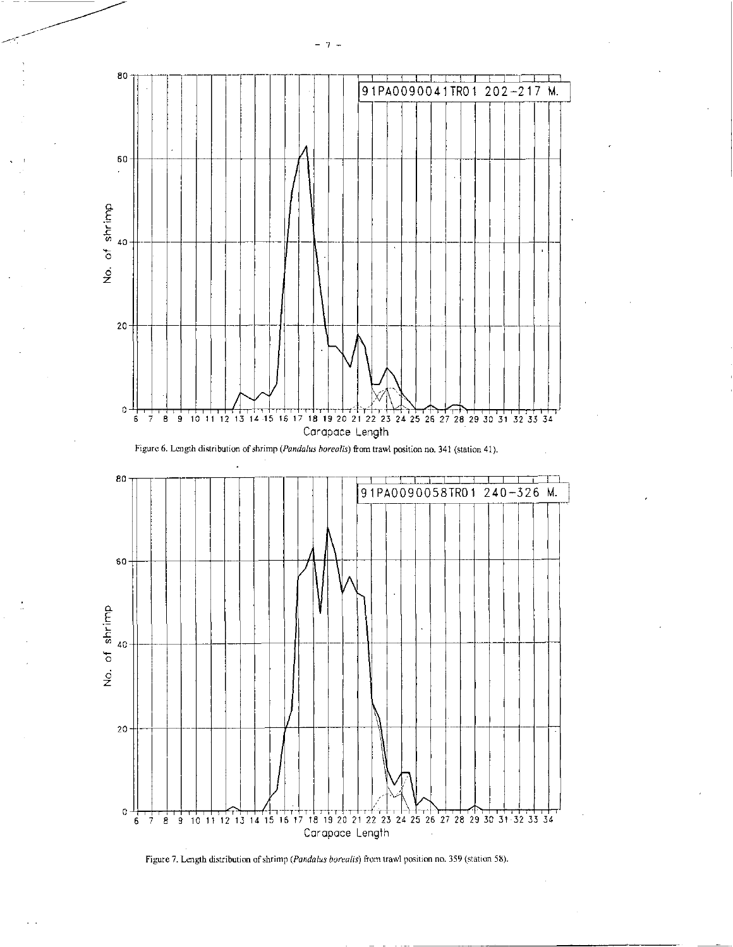



7